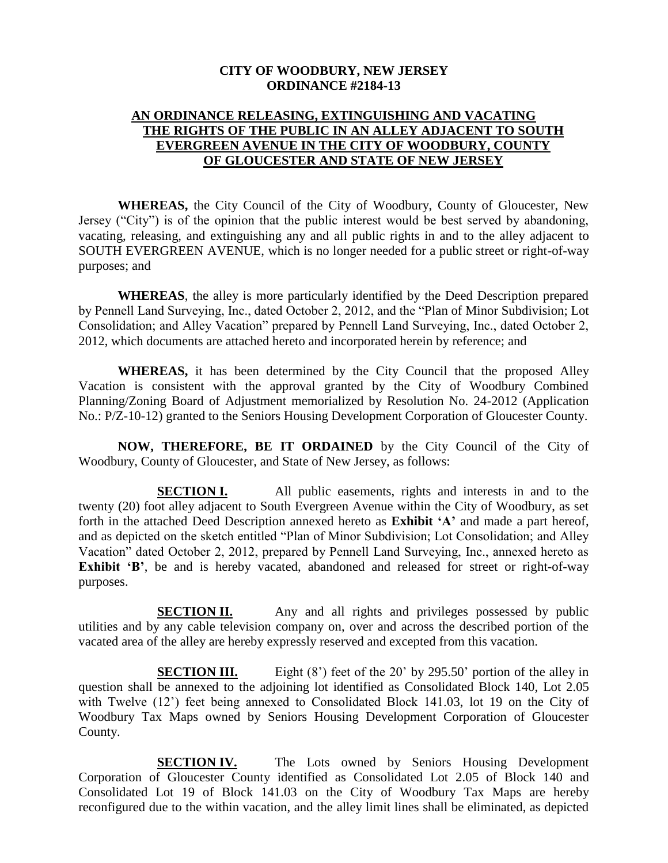## **CITY OF WOODBURY, NEW JERSEY ORDINANCE #2184-13**

## **AN ORDINANCE RELEASING, EXTINGUISHING AND VACATING THE RIGHTS OF THE PUBLIC IN AN ALLEY ADJACENT TO SOUTH EVERGREEN AVENUE IN THE CITY OF WOODBURY, COUNTY OF GLOUCESTER AND STATE OF NEW JERSEY**

**WHEREAS,** the City Council of the City of Woodbury, County of Gloucester, New Jersey ("City") is of the opinion that the public interest would be best served by abandoning, vacating, releasing, and extinguishing any and all public rights in and to the alley adjacent to SOUTH EVERGREEN AVENUE, which is no longer needed for a public street or right-of-way purposes; and

**WHEREAS**, the alley is more particularly identified by the Deed Description prepared by Pennell Land Surveying, Inc., dated October 2, 2012, and the "Plan of Minor Subdivision; Lot Consolidation; and Alley Vacation" prepared by Pennell Land Surveying, Inc., dated October 2, 2012, which documents are attached hereto and incorporated herein by reference; and

**WHEREAS,** it has been determined by the City Council that the proposed Alley Vacation is consistent with the approval granted by the City of Woodbury Combined Planning/Zoning Board of Adjustment memorialized by Resolution No. 24-2012 (Application No.: P/Z-10-12) granted to the Seniors Housing Development Corporation of Gloucester County.

**NOW, THEREFORE, BE IT ORDAINED** by the City Council of the City of Woodbury, County of Gloucester, and State of New Jersey, as follows:

**SECTION I.** All public easements, rights and interests in and to the twenty (20) foot alley adjacent to South Evergreen Avenue within the City of Woodbury, as set forth in the attached Deed Description annexed hereto as **Exhibit 'A'** and made a part hereof, and as depicted on the sketch entitled "Plan of Minor Subdivision; Lot Consolidation; and Alley Vacation" dated October 2, 2012, prepared by Pennell Land Surveying, Inc., annexed hereto as **Exhibit 'B'**, be and is hereby vacated, abandoned and released for street or right-of-way purposes.

**SECTION II.** Any and all rights and privileges possessed by public utilities and by any cable television company on, over and across the described portion of the vacated area of the alley are hereby expressly reserved and excepted from this vacation.

**SECTION III.** Eight (8') feet of the 20' by 295.50' portion of the alley in question shall be annexed to the adjoining lot identified as Consolidated Block 140, Lot 2.05 with Twelve (12') feet being annexed to Consolidated Block 141.03, lot 19 on the City of Woodbury Tax Maps owned by Seniors Housing Development Corporation of Gloucester County.

**SECTION IV.** The Lots owned by Seniors Housing Development Corporation of Gloucester County identified as Consolidated Lot 2.05 of Block 140 and Consolidated Lot 19 of Block 141.03 on the City of Woodbury Tax Maps are hereby reconfigured due to the within vacation, and the alley limit lines shall be eliminated, as depicted